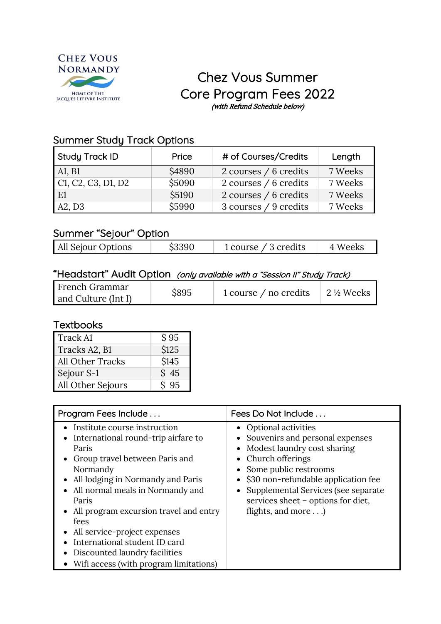

# Chez Vous Summer Core Program Fees 2022 (with Refund Schedule below)

## Summer Study Track Options

| Study Track ID     | Price  | # of Courses/Credits  | Length  |
|--------------------|--------|-----------------------|---------|
| A1, B1             | \$4890 | 2 courses / 6 credits | 7 Weeks |
| C1, C2, C3, D1, D2 | \$5090 | 2 courses / 6 credits | 7 Weeks |
| E1                 | \$5190 | 2 courses / 6 credits | 7 Weeks |
| A2, D3             | \$5990 | 3 courses / 9 credits | 7 Weeks |

#### Summer "Sejour" Option

| All Sejour Options | \$3390 | 1 course $\angle$ 3 credits | 4 Weeks |
|--------------------|--------|-----------------------------|---------|
|                    |        |                             |         |

## "Headstart" Audit Option (only available with a "Session II" Study Track)

## **Textbooks**

| Track A1                | \$95            |
|-------------------------|-----------------|
| Tracks A2, B1           | \$125           |
| <b>All Other Tracks</b> | \$145           |
| Sejour S-1              | $\mathrm{S}$ 45 |
| All Other Sejours       | 95              |

| Program Fees Include                                                                                                                                                                                                                                                                                                                                                                                                   | Fees Do Not Include                                                                                                                                                                                                                                                                  |  |
|------------------------------------------------------------------------------------------------------------------------------------------------------------------------------------------------------------------------------------------------------------------------------------------------------------------------------------------------------------------------------------------------------------------------|--------------------------------------------------------------------------------------------------------------------------------------------------------------------------------------------------------------------------------------------------------------------------------------|--|
| Institute course instruction<br>International round-trip airfare to<br>٠<br>Paris<br>Group travel between Paris and<br>٠<br>Normandy<br>All lodging in Normandy and Paris<br>All normal meals in Normandy and<br>Paris<br>• All program excursion travel and entry<br>fees<br>All service-project expenses<br>International student ID card<br>Discounted laundry facilities<br>Wifi access (with program limitations) | • Optional activities<br>• Souvenirs and personal expenses<br>Modest laundry cost sharing<br>• Church offerings<br>• Some public restrooms<br>\$30 non-refundable application fee<br>Supplemental Services (see separate<br>services sheet - options for diet,<br>flights, and more) |  |